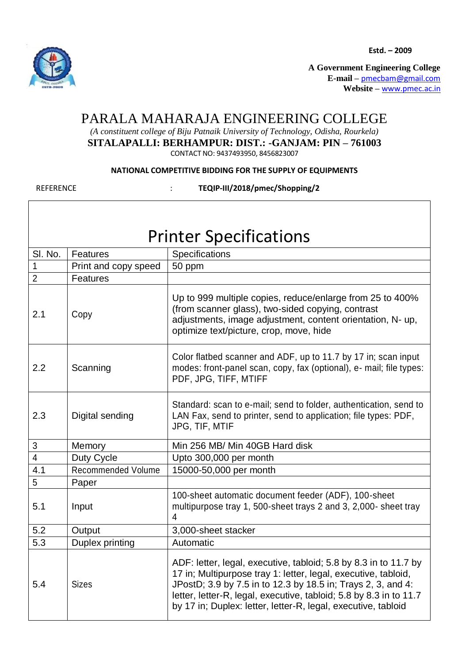

**A Government Engineering College E-mail –** [pmecbam@gmail.com](mailto:pmecbam@gmail.com) **Website –** [www.pmec.ac.in](http://www.pmec.ac.in/)

### PARALA MAHARAJA ENGINEERING COLLEGE

*(A constituent college of Biju Patnaik University of Technology, Odisha, Rourkela)* **SITALAPALLI: BERHAMPUR: DIST.: -GANJAM: PIN – 761003**

CONTACT NO: 9437493950, 8456823007

#### **NATIONAL COMPETITIVE BIDDING FOR THE SUPPLY OF EQUIPMENTS**

REFERENCE : **TEQIP-III/2018/pmec/Shopping/2**

| <b>Printer Specifications</b> |                           |                                                                                                                                                                                                                                                                                                                                           |  |  |  |  |  |
|-------------------------------|---------------------------|-------------------------------------------------------------------------------------------------------------------------------------------------------------------------------------------------------------------------------------------------------------------------------------------------------------------------------------------|--|--|--|--|--|
| SI. No.                       | <b>Features</b>           | Specifications                                                                                                                                                                                                                                                                                                                            |  |  |  |  |  |
| 1                             | Print and copy speed      | 50 ppm                                                                                                                                                                                                                                                                                                                                    |  |  |  |  |  |
| $\overline{2}$                | <b>Features</b>           |                                                                                                                                                                                                                                                                                                                                           |  |  |  |  |  |
| 2.1                           | Copy                      | Up to 999 multiple copies, reduce/enlarge from 25 to 400%<br>(from scanner glass), two-sided copying, contrast<br>adjustments, image adjustment, content orientation, N- up,<br>optimize text/picture, crop, move, hide                                                                                                                   |  |  |  |  |  |
| 2.2                           | Scanning                  | Color flatbed scanner and ADF, up to 11.7 by 17 in; scan input<br>modes: front-panel scan, copy, fax (optional), e- mail; file types:<br>PDF, JPG, TIFF, MTIFF                                                                                                                                                                            |  |  |  |  |  |
| 2.3                           | Digital sending           | Standard: scan to e-mail; send to folder, authentication, send to<br>LAN Fax, send to printer, send to application; file types: PDF,<br>JPG, TIF, MTIF                                                                                                                                                                                    |  |  |  |  |  |
| 3                             | Memory                    | Min 256 MB/ Min 40GB Hard disk                                                                                                                                                                                                                                                                                                            |  |  |  |  |  |
| $\overline{4}$                | Duty Cycle                | Upto 300,000 per month                                                                                                                                                                                                                                                                                                                    |  |  |  |  |  |
| 4.1                           | <b>Recommended Volume</b> | 15000-50,000 per month                                                                                                                                                                                                                                                                                                                    |  |  |  |  |  |
| 5                             | Paper                     |                                                                                                                                                                                                                                                                                                                                           |  |  |  |  |  |
| 5.1                           | Input                     | 100-sheet automatic document feeder (ADF), 100-sheet<br>multipurpose tray 1, 500-sheet trays 2 and 3, 2,000- sheet tray<br>4                                                                                                                                                                                                              |  |  |  |  |  |
| 5.2                           | Output                    | 3,000-sheet stacker                                                                                                                                                                                                                                                                                                                       |  |  |  |  |  |
| 5.3                           | Duplex printing           | Automatic                                                                                                                                                                                                                                                                                                                                 |  |  |  |  |  |
| 5.4                           | <b>Sizes</b>              | ADF: letter, legal, executive, tabloid; 5.8 by 8.3 in to 11.7 by<br>17 in; Multipurpose tray 1: letter, legal, executive, tabloid,<br>JPostD; 3.9 by 7.5 in to 12.3 by 18.5 in; Trays 2, 3, and 4:<br>letter, letter-R, legal, executive, tabloid; 5.8 by 8.3 in to 11.7<br>by 17 in; Duplex: letter, letter-R, legal, executive, tabloid |  |  |  |  |  |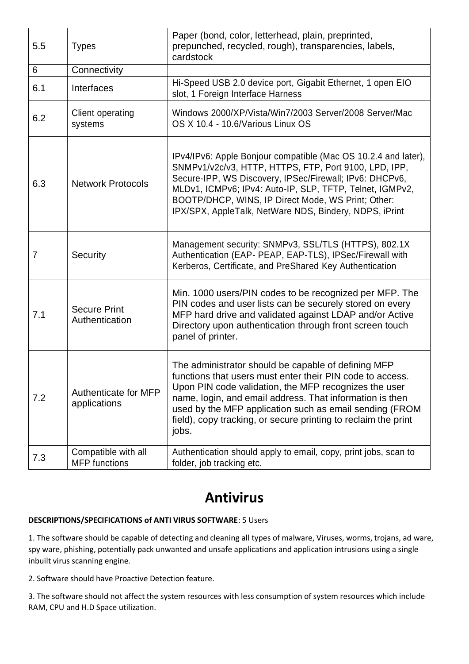| 5.5 | <b>Types</b>                                | Paper (bond, color, letterhead, plain, preprinted,<br>prepunched, recycled, rough), transparencies, labels,<br>cardstock                                                                                                                                                                                                                                                    |  |
|-----|---------------------------------------------|-----------------------------------------------------------------------------------------------------------------------------------------------------------------------------------------------------------------------------------------------------------------------------------------------------------------------------------------------------------------------------|--|
| 6   | Connectivity                                |                                                                                                                                                                                                                                                                                                                                                                             |  |
| 6.1 | Interfaces                                  | Hi-Speed USB 2.0 device port, Gigabit Ethernet, 1 open EIO<br>slot, 1 Foreign Interface Harness                                                                                                                                                                                                                                                                             |  |
| 6.2 | Client operating<br>systems                 | Windows 2000/XP/Vista/Win7/2003 Server/2008 Server/Mac<br>OS X 10.4 - 10.6/Various Linux OS                                                                                                                                                                                                                                                                                 |  |
| 6.3 | <b>Network Protocols</b>                    | IPv4/IPv6: Apple Bonjour compatible (Mac OS 10.2.4 and later),<br>SNMPv1/v2c/v3, HTTP, HTTPS, FTP, Port 9100, LPD, IPP,<br>Secure-IPP, WS Discovery, IPSec/Firewall; IPv6: DHCPv6,<br>MLDv1, ICMPv6; IPv4: Auto-IP, SLP, TFTP, Telnet, IGMPv2,<br>BOOTP/DHCP, WINS, IP Direct Mode, WS Print; Other:<br>IPX/SPX, AppleTalk, NetWare NDS, Bindery, NDPS, iPrint              |  |
| 7   | Security                                    | Management security: SNMPv3, SSL/TLS (HTTPS), 802.1X<br>Authentication (EAP- PEAP, EAP-TLS), IPSec/Firewall with<br>Kerberos, Certificate, and PreShared Key Authentication                                                                                                                                                                                                 |  |
| 7.1 | <b>Secure Print</b><br>Authentication       | Min. 1000 users/PIN codes to be recognized per MFP. The<br>PIN codes and user lists can be securely stored on every<br>MFP hard drive and validated against LDAP and/or Active<br>Directory upon authentication through front screen touch<br>panel of printer.                                                                                                             |  |
| 7.2 | <b>Authenticate for MFP</b><br>applications | The administrator should be capable of defining MFP<br>functions that users must enter their PIN code to access.<br>Upon PIN code validation, the MFP recognizes the user<br>name, login, and email address. That information is then<br>used by the MFP application such as email sending (FROM<br>field), copy tracking, or secure printing to reclaim the print<br>jobs. |  |
| 7.3 | Compatible with all<br><b>MFP</b> functions | Authentication should apply to email, copy, print jobs, scan to<br>folder, job tracking etc.                                                                                                                                                                                                                                                                                |  |

## **Antivirus**

### **DESCRIPTIONS/SPECIFICATIONS of ANTI VIRUS SOFTWARE**: 5 Users

1. The software should be capable of detecting and cleaning all types of malware, Viruses, worms, trojans, ad ware, spy ware, phishing, potentially pack unwanted and unsafe applications and application intrusions using a single inbuilt virus scanning engine.

2. Software should have Proactive Detection feature.

3. The software should not affect the system resources with less consumption of system resources which include RAM, CPU and H.D Space utilization.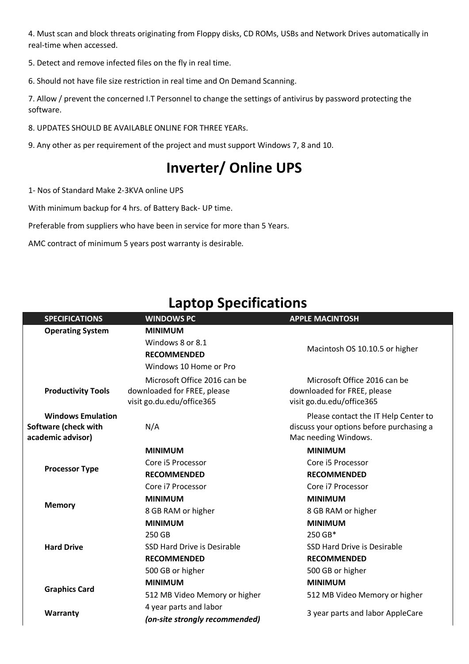4. Must scan and block threats originating from Floppy disks, CD ROMs, USBs and Network Drives automatically in real-time when accessed.

5. Detect and remove infected files on the fly in real time.

6. Should not have file size restriction in real time and On Demand Scanning.

7. Allow / prevent the concerned I.T Personnel to change the settings of antivirus by password protecting the software.

8. UPDATES SHOULD BE AVAILABLE ONLINE FOR THREE YEARs.

9. Any other as per requirement of the project and must support Windows 7, 8 and 10.

# **Inverter/ Online UPS**

1- Nos of Standard Make 2-3KVA online UPS

With minimum backup for 4 hrs. of Battery Back- UP time.

Preferable from suppliers who have been in service for more than 5 Years.

AMC contract of minimum 5 years post warranty is desirable.

| <b>SPECIFICATIONS</b>                            | <b>WINDOWS PC</b>                                                                        | <b>APPLE MACINTOSH</b>                                                                   |
|--------------------------------------------------|------------------------------------------------------------------------------------------|------------------------------------------------------------------------------------------|
| <b>Operating System</b>                          | <b>MINIMUM</b><br>Windows 8 or 8.1                                                       | Macintosh OS 10.10.5 or higher                                                           |
|                                                  | <b>RECOMMENDED</b><br>Windows 10 Home or Pro                                             |                                                                                          |
| <b>Productivity Tools</b>                        | Microsoft Office 2016 can be<br>downloaded for FREE, please<br>visit go.du.edu/office365 | Microsoft Office 2016 can be<br>downloaded for FREE, please<br>visit go.du.edu/office365 |
| <b>Windows Emulation</b>                         |                                                                                          | Please contact the IT Help Center to                                                     |
| <b>Software (check with</b><br>academic advisor) | N/A                                                                                      | discuss your options before purchasing a<br>Mac needing Windows.                         |
|                                                  | <b>MINIMUM</b>                                                                           | <b>MINIMUM</b>                                                                           |
| <b>Processor Type</b>                            | Core i5 Processor                                                                        | Core i5 Processor                                                                        |
|                                                  | <b>RECOMMENDED</b>                                                                       | <b>RECOMMENDED</b>                                                                       |
|                                                  | Core i7 Processor                                                                        | Core i7 Processor                                                                        |
| <b>Memory</b>                                    | <b>MINIMUM</b>                                                                           | <b>MINIMUM</b>                                                                           |
|                                                  | 8 GB RAM or higher                                                                       | 8 GB RAM or higher                                                                       |
|                                                  | <b>MINIMUM</b>                                                                           | <b>MINIMUM</b>                                                                           |
|                                                  | 250 GB                                                                                   | 250 GB*                                                                                  |
| <b>Hard Drive</b>                                | SSD Hard Drive is Desirable                                                              | SSD Hard Drive is Desirable                                                              |
|                                                  | <b>RECOMMENDED</b>                                                                       | <b>RECOMMENDED</b>                                                                       |
|                                                  | 500 GB or higher                                                                         | 500 GB or higher                                                                         |
| <b>Graphics Card</b>                             | <b>MINIMUM</b>                                                                           | <b>MINIMUM</b>                                                                           |
|                                                  | 512 MB Video Memory or higher                                                            | 512 MB Video Memory or higher                                                            |
| Warranty                                         | 4 year parts and labor<br>(on-site strongly recommended)                                 | 3 year parts and labor AppleCare                                                         |

## **Laptop Specifications**